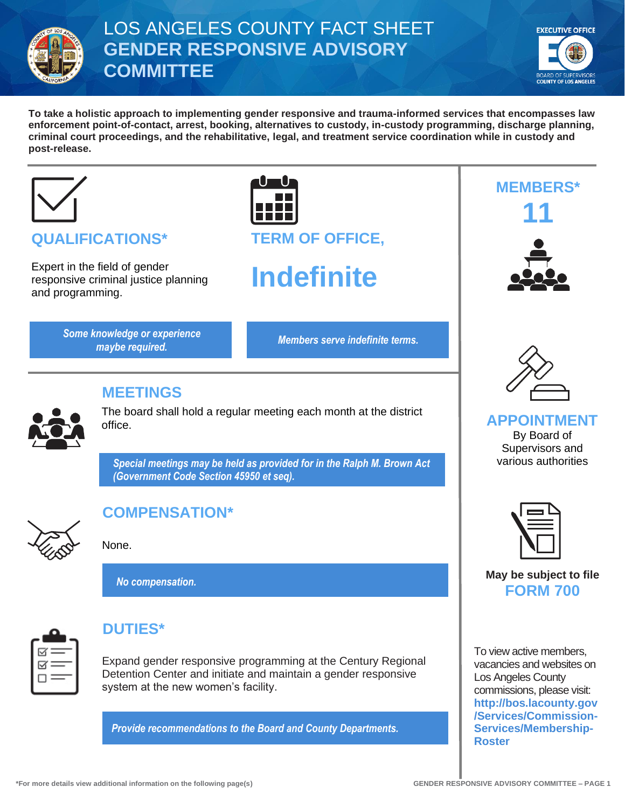

## LOS ANGELES COUNTY FACT SHEET **GENDER RESPONSIVE ADVISORY COMMITTEE**



**To take a holistic approach to implementing gender responsive and trauma-informed services that encompasses law enforcement point-of-contact, arrest, booking, alternatives to custody, in-custody programming, discharge planning, criminal court proceedings, and the rehabilitative, legal, and treatment service coordination while in custody and post-release.**



## **QUALIFICATIONS\***

Expert in the field of gender responsive criminal justice planning and programming.

> *Members serve indefinite terms. Some knowledge or experience maybe required.*

**TERM OF OFFICE,**

# **Indefinite**



#### **MEETINGS**

The board shall hold a regular meeting each month at the district office.

*Special meetings may be held as provided for in the Ralph M. Brown Act (Government Code Section 45950 et seq).*



## **COMPENSATION\***

None.

*No compensation.*



## **DUTIES\***

Expand gender responsive programming at the Century Regional Detention Center and initiate and maintain a gender responsive system at the new women's facility.

*Provide recommendations to the Board and County Departments.*



**MEMBERS\***

**11**

#### **APPOINTMENT** By Board of Supervisors and

various authorities



**May be subject to file FORM 700**

To view active members, vacancies and websites on Los Angeles County commissions, please visit: **[http://bos.lacounty.gov](http://bos.lacounty.gov/Services/Commission-Services/Membership-Roster) [/Services/Commission-](http://bos.lacounty.gov/Services/Commission-Services/Membership-Roster)[Services/Membership-](http://bos.lacounty.gov/Services/Commission-Services/Membership-Roster)[Roster](http://bos.lacounty.gov/Services/Commission-Services/Membership-Roster)**